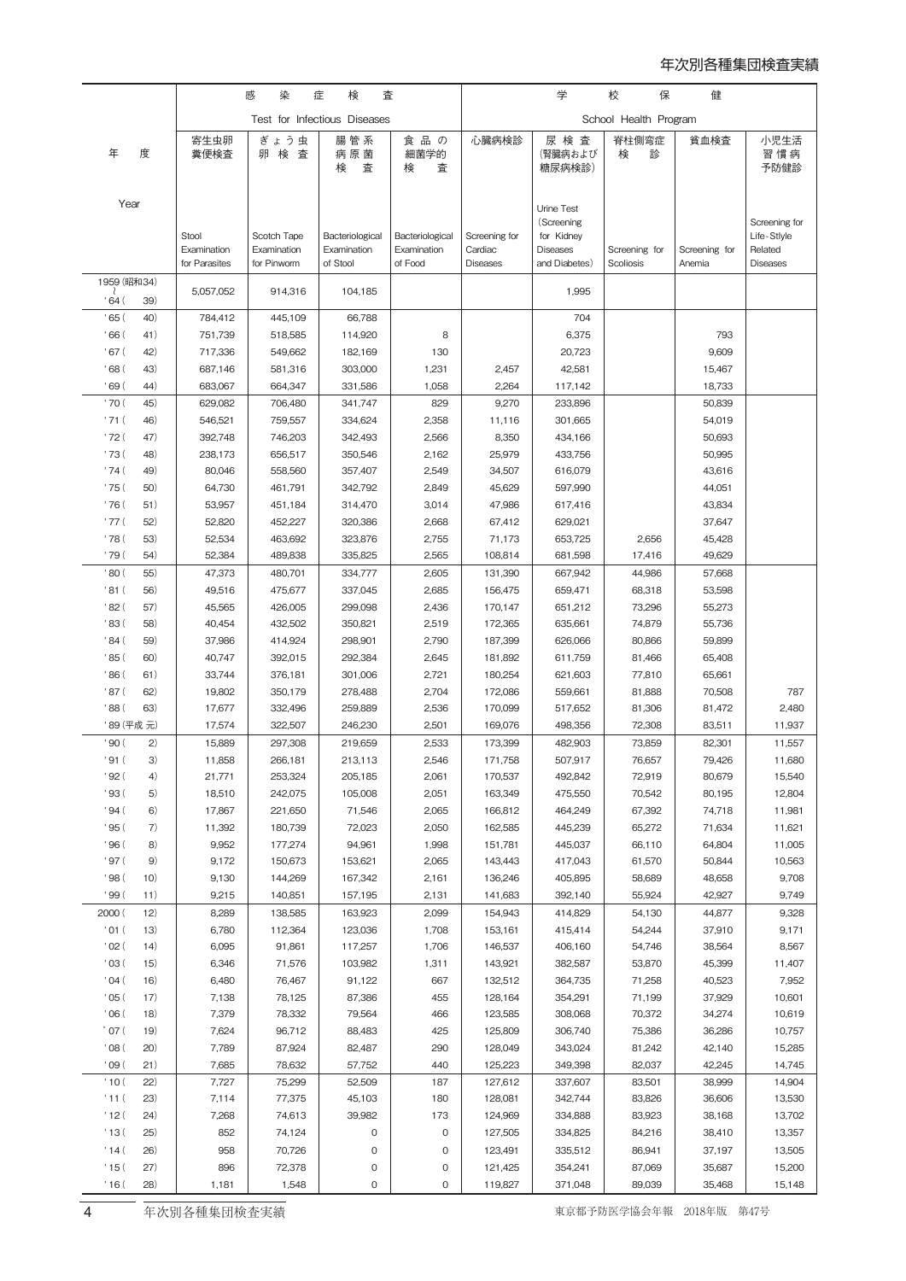## 年次別各種集団検査実績

|                     |              | 感<br>染<br>検<br>症<br>査        |                            |                                |                                | 学                        | 保<br>校                                                    | 健                |                  |                                         |
|---------------------|--------------|------------------------------|----------------------------|--------------------------------|--------------------------------|--------------------------|-----------------------------------------------------------|------------------|------------------|-----------------------------------------|
|                     |              | Test for Infectious Diseases |                            |                                | School Health Program          |                          |                                                           |                  |                  |                                         |
| 年                   | 度            | 寄生虫卵<br>糞便検査                 | ぎょう虫<br>卵検査                | 腸管系<br>病原菌<br>検<br>査           | 食品の<br>細菌学的<br>検<br>査          | 心臓病検診                    | 尿 検 査<br>(腎臓病および<br>糖尿病検診)                                | 脊柱側弯症<br>検<br>診  | 貧血検査             | 小児生活<br>習 慣 病<br>予防健診                   |
| Year                |              | Stool<br>Examination         | Scotch Tape<br>Examination | Bacteriological<br>Examination | Bacteriological<br>Examination | Screening for<br>Cardiac | Urine Test<br>(Screening<br>for Kidney<br><b>Diseases</b> | Screening for    | Screening for    | Screening for<br>Life-Stlyle<br>Related |
|                     |              | for Parasites                | for Pinworm                | of Stool                       | of Food                        | <b>Diseases</b>          | and Diabetes)                                             | Scoliosis        | Anemia           | <b>Diseases</b>                         |
| 1959 (昭和34)<br>.64( | 39)          | 5,057,052                    | 914,316                    | 104,185                        |                                |                          | 1,995                                                     |                  |                  |                                         |
| '65(                | 40)          | 784,412                      | 445,109                    | 66,788                         |                                |                          | 704                                                       |                  |                  |                                         |
| , 66 (<br>' 67 (    | 41)<br>42)   | 751,739<br>717,336           | 518,585<br>549,662         | 114,920<br>182,169             | 8<br>130                       |                          | 6,375<br>20,723                                           |                  | 793<br>9,609     |                                         |
| , 68 (              | 43)          | 687,146                      | 581,316                    | 303,000                        | 1,231                          | 2,457                    | 42,581                                                    |                  | 15,467           |                                         |
| '69(                | 44)          | 683,067                      | 664,347                    | 331,586                        | 1,058                          | 2,264                    | 117,142                                                   |                  | 18,733           |                                         |
| ' 70 (              | 45)          | 629,082                      | 706,480                    | 341,747                        | 829                            | 9,270                    | 233,896                                                   |                  | 50,839           |                                         |
| '71(                | 46)          | 546,521                      | 759,557                    | 334,624                        | 2,358                          | 11,116                   | 301,665                                                   |                  | 54,019           |                                         |
| ' 72 (              | 47)          | 392,748                      | 746,203                    | 342,493                        | 2,566                          | 8,350                    | 434,166                                                   |                  | 50,693           |                                         |
| ' 73 (              | 48)          | 238,173                      | 656,517                    | 350,546                        | 2,162                          | 25,979                   | 433,756                                                   |                  | 50,995           |                                         |
| '74(<br>' 75 (      | 49)<br>50)   | 80,046<br>64,730             | 558,560<br>461,791         | 357,407<br>342,792             | 2,549<br>2,849                 | 34,507<br>45,629         | 616,079<br>597,990                                        |                  | 43,616<br>44,051 |                                         |
| ' 76 (              | 51)          | 53,957                       | 451,184                    | 314,470                        | 3,014                          | 47,986                   | 617,416                                                   |                  | 43,834           |                                         |
| ' 77 (              | 52)          | 52,820                       | 452,227                    | 320,386                        | 2,668                          | 67,412                   | 629,021                                                   |                  | 37,647           |                                         |
| ' 78 (              | 53)          | 52,534                       | 463,692                    | 323,876                        | 2,755                          | 71,173                   | 653,725                                                   | 2,656            | 45,428           |                                         |
| ' 79 (              | 54)          | 52,384                       | 489,838                    | 335,825                        | 2,565                          | 108,814                  | 681,598                                                   | 17,416           | 49,629           |                                         |
| '80(                | 55)          | 47,373                       | 480,701                    | 334,777                        | 2,605                          | 131,390                  | 667,942                                                   | 44,986           | 57,668           |                                         |
| '81 (               | 56)          | 49,516                       | 475,677                    | 337,045                        | 2,685                          | 156,475                  | 659,471                                                   | 68,318           | 53,598           |                                         |
| '82(                | 57)          | 45,565                       | 426,005                    | 299,098                        | 2,436                          | 170,147                  | 651,212                                                   | 73,296           | 55,273           |                                         |
| '83 (               | 58)          | 40,454                       | 432,502                    | 350,821                        | 2,519                          | 172,365                  | 635,661                                                   | 74,879           | 55,736           |                                         |
| ' 84 (              | 59)          | 37,986                       | 414,924                    | 298,901                        | 2,790                          | 187,399                  | 626,066                                                   | 80,866           | 59,899           |                                         |
| '85(                | 60)<br>61)   | 40,747                       | 392,015                    | 292,384                        | 2,645                          | 181,892                  | 611,759                                                   | 81,466           | 65,408           |                                         |
| '86 (<br>'87 (      | 62)          | 33,744<br>19,802             | 376,181<br>350,179         | 301,006<br>278,488             | 2,721<br>2,704                 | 180,254<br>172,086       | 621,603<br>559,661                                        | 77,810<br>81,888 | 65,661<br>70,508 | 787                                     |
| '88(                | 63)          | 17,677                       | 332,496                    | 259,889                        | 2,536                          | 170,099                  | 517,652                                                   | 81,306           | 81,472           | 2,480                                   |
|                     | '89 (平成元)    | 17,574                       | 322,507                    | 246,230                        | 2,501                          | 169,076                  | 498,356                                                   | 72,308           | 83,511           | 11,937                                  |
| '90(                | $\mathbf{2}$ | 15,889                       | 297,308                    | 219,659                        | 2,533                          | 173,399                  | 482,903                                                   | 73,859           | 82,301           | 11,557                                  |
| ' 91 (              | 3)           | 11,858                       | 266,181                    | 213,113                        | 2,546                          | 171,758                  | 507,917                                                   | 76,657           | 79,426           | 11,680                                  |
| '92(                | 4)           | 21,771                       | 253,324                    | 205,185                        | 2,061                          | 170,537                  | 492,842                                                   | 72,919           | 80,679           | 15,540                                  |
| '93 (               | 5)           | 18,510                       | 242,075                    | 105,008                        | 2,051                          | 163,349                  | 475,550                                                   | 70,542           | 80,195           | 12,804                                  |
| '94(                | 6)           | 17,867                       | 221,650                    | 71,546                         | 2,065                          | 166,812                  | 464,249                                                   | 67,392           | 74,718           | 11,981                                  |
| '95(                | 7)           | 11,392                       | 180,739                    | 72,023                         | 2,050                          | 162,585                  | 445,239                                                   | 65,272           | 71,634           | 11,621                                  |
| , 96 (              | 8)           | 9,952                        | 177,274                    | 94,961                         | 1,998                          | 151,781                  | 445,037                                                   | 66,110           | 64,804           | 11,005                                  |
| ' 97 (<br>'98(      | 9)<br>10)    | 9,172<br>9,130               | 150,673<br>144,269         | 153,621<br>167,342             | 2,065<br>2,161                 | 143,443<br>136,246       | 417,043<br>405,895                                        | 61,570<br>58,689 | 50,844<br>48,658 | 10,563<br>9,708                         |
| '99(                | 11)          | 9,215                        | 140,851                    | 157,195                        | 2,131                          | 141,683                  | 392,140                                                   | 55,924           | 42,927           | 9,749                                   |
| 2000 (              | 12)          | 8,289                        | 138,585                    | 163,923                        | 2,099                          | 154,943                  | 414,829                                                   | 54,130           | 44,877           | 9,328                                   |
| '01(                | 13)          | 6,780                        | 112,364                    | 123,036                        | 1,708                          | 153,161                  | 415,414                                                   | 54,244           | 37,910           | 9,171                                   |
| $'$ O2 (            | 14)          | 6,095                        | 91,861                     | 117,257                        | 1,706                          | 146,537                  | 406,160                                                   | 54,746           | 38,564           | 8,567                                   |
| $'$ O3 $($          | 15)          | 6,346                        | 71,576                     | 103,982                        | 1,311                          | 143,921                  | 382,587                                                   | 53,870           | 45,399           | 11,407                                  |
| '04(                | 16)          | 6,480                        | 76,467                     | 91,122                         | 667                            | 132,512                  | 364,735                                                   | 71,258           | 40,523           | 7,952                                   |
| '05(                | 17)          | 7,138                        | 78,125                     | 87,386                         | 455                            | 128,164                  | 354,291                                                   | 71,199           | 37,929           | 10,601                                  |
| 06(                 | 18)          | 7,379                        | 78,332                     | 79,564                         | 466                            | 123,585                  | 308,068                                                   | 70,372           | 34,274           | 10,619                                  |
| ' 07 (              | 19)          | 7,624                        | 96,712                     | 88,483                         | 425                            | 125,809                  | 306,740                                                   | 75,386           | 36,286           | 10,757                                  |
| 08(                 | 20)          | 7,789                        | 87,924                     | 82,487                         | 290                            | 128,049                  | 343,024                                                   | 81,242           | 42,140           | 15,285                                  |
| '09(<br>'10(        | 21)<br>(22)  | 7,685<br>7,727               | 78,632<br>75,299           | 57,752<br>52,509               | 440<br>187                     | 125,223<br>127,612       | 349,398<br>337,607                                        | 82,037<br>83,501 | 42,245<br>38,999 | 14,745<br>14,904                        |
| '11(                | 23)          | 7,114                        | 77,375                     | 45,103                         | 180                            | 128,081                  | 342,744                                                   | 83,826           | 36,606           | 13,530                                  |
| '12(                | 24)          | 7,268                        | 74,613                     | 39,982                         | 173                            | 124,969                  | 334,888                                                   | 83,923           | 38,168           | 13,702                                  |
| '13(                | 25)          | 852                          | 74,124                     | 0                              | 0                              | 127,505                  | 334,825                                                   | 84,216           | 38,410           | 13,357                                  |
| '14(                | 26)          | 958                          | 70,726                     | 0                              | 0                              | 123,491                  | 335,512                                                   | 86,941           | 37,197           | 13,505                                  |
| '15(                | (27)         | 896                          | 72,378                     | 0                              | 0                              | 121,425                  | 354,241                                                   | 87,069           | 35,687           | 15,200                                  |
| ' 16 (              | 28)          | 1,181                        | 1,548                      | 0                              | 0                              | 119,827                  | 371,048                                                   | 89,039           | 35,468           | 15,148                                  |
|                     |              |                              |                            |                                |                                |                          |                                                           |                  |                  |                                         |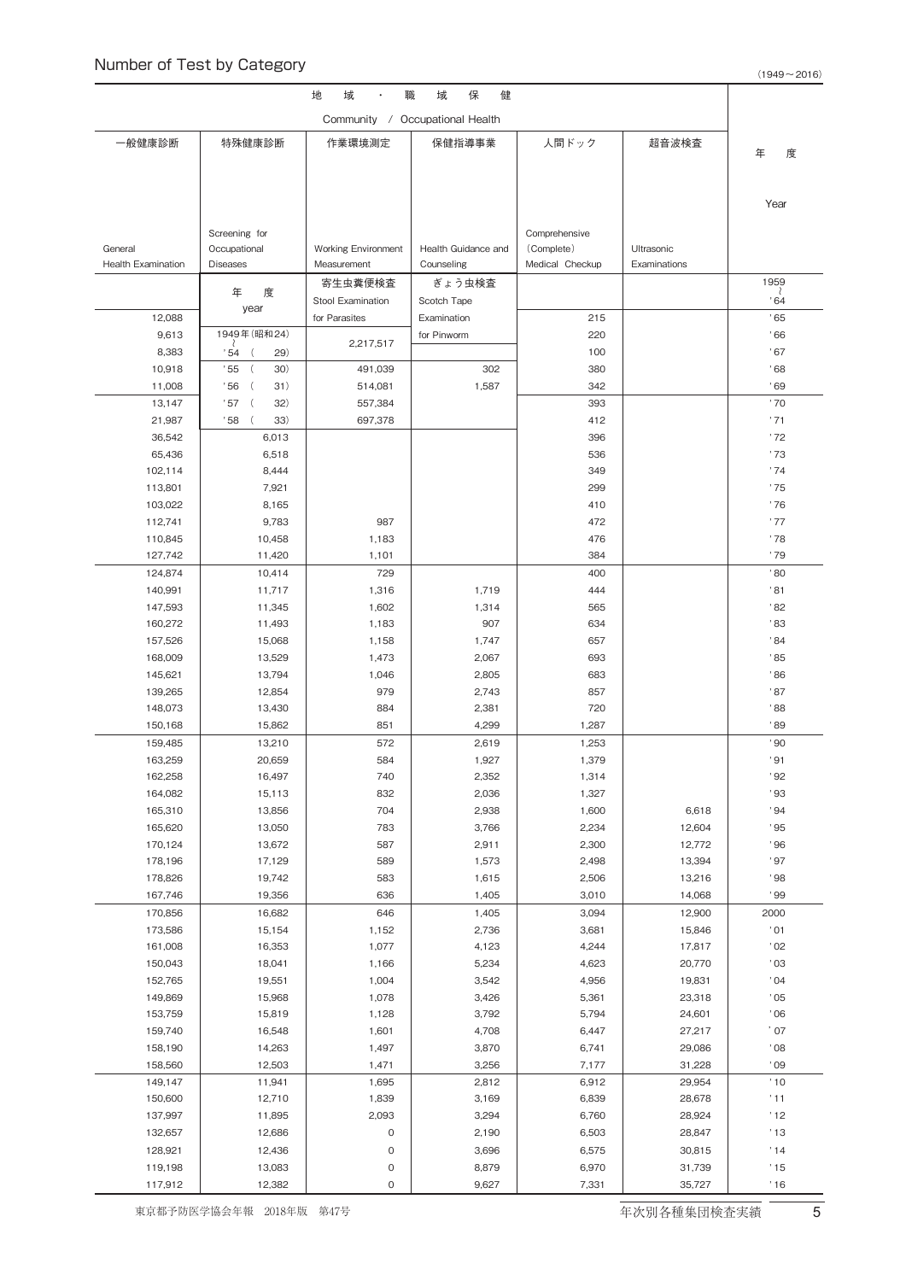| 地<br>保<br>域<br>職<br>健<br>域           |                                 |                                           |                                   |                               |                  |                  |  |  |  |  |
|--------------------------------------|---------------------------------|-------------------------------------------|-----------------------------------|-------------------------------|------------------|------------------|--|--|--|--|
| Community / Occupational Health      |                                 |                                           |                                   |                               |                  |                  |  |  |  |  |
| 一般健康診断                               | 特殊健康診断                          | 作業環境測定                                    | 保健指導事業                            | 人間ドック                         | 超音波検査            |                  |  |  |  |  |
|                                      |                                 |                                           |                                   |                               |                  | 年<br>度           |  |  |  |  |
|                                      |                                 |                                           |                                   |                               |                  |                  |  |  |  |  |
|                                      |                                 |                                           |                                   |                               |                  | Year             |  |  |  |  |
|                                      |                                 |                                           |                                   |                               |                  |                  |  |  |  |  |
|                                      | Screening for                   |                                           |                                   | Comprehensive                 | Ultrasonic       |                  |  |  |  |  |
| General<br><b>Health Examination</b> | Occupational<br><b>Diseases</b> | <b>Working Environment</b><br>Measurement | Health Guidance and<br>Counseling | (Complete)<br>Medical Checkup | Examinations     |                  |  |  |  |  |
|                                      |                                 | 寄生虫糞便検査                                   | ぎょう虫検査                            |                               |                  | 1959             |  |  |  |  |
|                                      | 年<br>度                          | Stool Examination                         | Scotch Tape                       |                               |                  | .64              |  |  |  |  |
| 12,088                               | year                            | for Parasites                             | Examination                       | 215                           |                  | .65              |  |  |  |  |
| 9,613                                | 1949年 (昭和24)                    |                                           | for Pinworm                       | 220                           |                  | .66              |  |  |  |  |
| 8,383                                | 29)<br>' 54                     | 2,217,517                                 |                                   | 100                           |                  | .67              |  |  |  |  |
| 10,918                               | .55<br>30)<br>$\left($          | 491,039                                   | 302                               | 380                           |                  | .68              |  |  |  |  |
| 11,008                               | .56<br>$\left($<br>31)          | 514,081                                   | 1,587                             | 342                           |                  | .69              |  |  |  |  |
| 13,147                               | .57<br>$\left($<br>32)          | 557,384                                   |                                   | 393                           |                  | '70              |  |  |  |  |
| 21,987                               | 33)<br>' 58                     | 697,378                                   |                                   | 412                           |                  | '71              |  |  |  |  |
| 36,542                               | 6,013                           |                                           |                                   | 396<br>536                    |                  | '72<br>'73       |  |  |  |  |
| 65,436<br>102,114                    | 6,518<br>8,444                  |                                           |                                   | 349                           |                  | .74              |  |  |  |  |
| 113,801                              | 7,921                           |                                           |                                   | 299                           |                  | '75              |  |  |  |  |
| 103,022                              | 8,165                           |                                           |                                   | 410                           |                  | '76              |  |  |  |  |
| 112,741                              | 9,783                           | 987                                       |                                   | 472                           |                  | '77              |  |  |  |  |
| 110,845                              | 10,458                          | 1,183                                     |                                   | 476                           |                  | '78              |  |  |  |  |
| 127,742                              | 11,420                          | 1,101                                     |                                   | 384                           |                  | '79              |  |  |  |  |
| 124,874                              | 10,414                          | 729                                       |                                   | 400                           |                  | '80              |  |  |  |  |
| 140,991                              | 11,717                          | 1,316                                     | 1,719                             | 444                           |                  | '81              |  |  |  |  |
| 147,593                              | 11,345                          | 1,602                                     | 1,314                             | 565                           |                  | '82              |  |  |  |  |
| 160,272                              | 11,493                          | 1,183                                     | 907                               | 634                           |                  | '83              |  |  |  |  |
| 157,526                              | 15,068                          | 1,158                                     | 1,747                             | 657                           |                  | .84              |  |  |  |  |
| 168,009                              | 13,529                          | 1,473                                     | 2,067                             | 693                           |                  | .85              |  |  |  |  |
| 145,621                              | 13,794                          | 1,046<br>979                              | 2,805                             | 683                           |                  | .86<br>'87       |  |  |  |  |
| 139,265<br>148,073                   | 12,854<br>13,430                | 884                                       | 2,743<br>2,381                    | 857<br>720                    |                  | '88              |  |  |  |  |
| 150,168                              | 15,862                          | 851                                       | 4,299                             | 1,287                         |                  | .89              |  |  |  |  |
| 159,485                              | 13,210                          | 572                                       | 2,619                             | 1,253                         |                  | .80 <sub>o</sub> |  |  |  |  |
| 163,259                              | 20,659                          | 584                                       | 1,927                             | 1,379                         |                  | '91              |  |  |  |  |
| 162,258                              | 16,497                          | 740                                       | 2,352                             | 1,314                         |                  | .92              |  |  |  |  |
| 164,082                              | 15,113                          | 832                                       | 2,036                             | 1,327                         |                  | '93              |  |  |  |  |
| 165,310                              | 13,856                          | 704                                       | 2,938                             | 1,600                         | 6,618            | .94              |  |  |  |  |
| 165,620                              | 13,050                          | 783                                       | 3,766                             | 2,234                         | 12,604           | .95              |  |  |  |  |
| 170,124                              | 13,672                          | 587                                       | 2,911                             | 2,300                         | 12,772           | .96              |  |  |  |  |
| 178,196                              | 17,129                          | 589                                       | 1,573                             | 2,498                         | 13,394           | .97              |  |  |  |  |
| 178,826                              | 19,742                          | 583                                       | 1,615                             | 2,506                         | 13,216           | .98              |  |  |  |  |
| 167,746                              | 19,356                          | 636                                       | 1,405                             | 3,010                         | 14,068           | .99              |  |  |  |  |
| 170,856                              | 16,682                          | 646                                       | 1,405                             | 3,094                         | 12,900           | 2000             |  |  |  |  |
| 173,586<br>161,008                   | 15,154<br>16,353                | 1,152<br>1,077                            | 2,736<br>4,123                    | 3,681<br>4,244                | 15,846<br>17,817 | '01<br>'02       |  |  |  |  |
| 150,043                              | 18,041                          | 1,166                                     | 5,234                             | 4,623                         | 20,770           | '03              |  |  |  |  |
| 152,765                              | 19,551                          | 1,004                                     | 3,542                             | 4,956                         | 19,831           | .04              |  |  |  |  |
| 149,869                              | 15,968                          | 1,078                                     | 3,426                             | 5,361                         | 23,318           | .05              |  |  |  |  |
| 153,759                              | 15,819                          | 1,128                                     | 3,792                             | 5,794                         | 24,601           | .06              |  |  |  |  |
| 159,740                              | 16,548                          | 1,601                                     | 4,708                             | 6,447                         | 27,217           | $^{\prime}$ 07   |  |  |  |  |
| 158,190                              | 14,263                          | 1,497                                     | 3,870                             | 6,741                         | 29,086           | $^{\prime}$ 08   |  |  |  |  |
| 158,560                              | 12,503                          | 1,471                                     | 3,256                             | 7,177                         | 31,228           | .09              |  |  |  |  |
| 149,147                              | 11,941                          | 1,695                                     | 2,812                             | 6,912                         | 29,954           | '10              |  |  |  |  |
| 150,600                              | 12,710                          | 1,839                                     | 3,169                             | 6,839                         | 28,678           | '11              |  |  |  |  |
| 137,997                              | 11,895                          | 2,093                                     | 3,294                             | 6,760                         | 28,924           | '12              |  |  |  |  |
| 132,657                              | 12,686                          | $\mathsf{O}\xspace$                       | 2,190                             | 6,503                         | 28,847           | '13              |  |  |  |  |
| 128,921                              | 12,436                          | $\mathsf{O}\xspace$                       | 3,696                             | 6,575                         | 30,815           | '14              |  |  |  |  |
| 119,198                              | 13,083                          | $\mathsf{O}\xspace$                       | 8,879                             | 6,970                         | 31,739           | '15              |  |  |  |  |
| 117,912                              | 12,382                          | $\mathsf{O}\xspace$                       | 9,627                             | 7,331                         | 35,727           | '16              |  |  |  |  |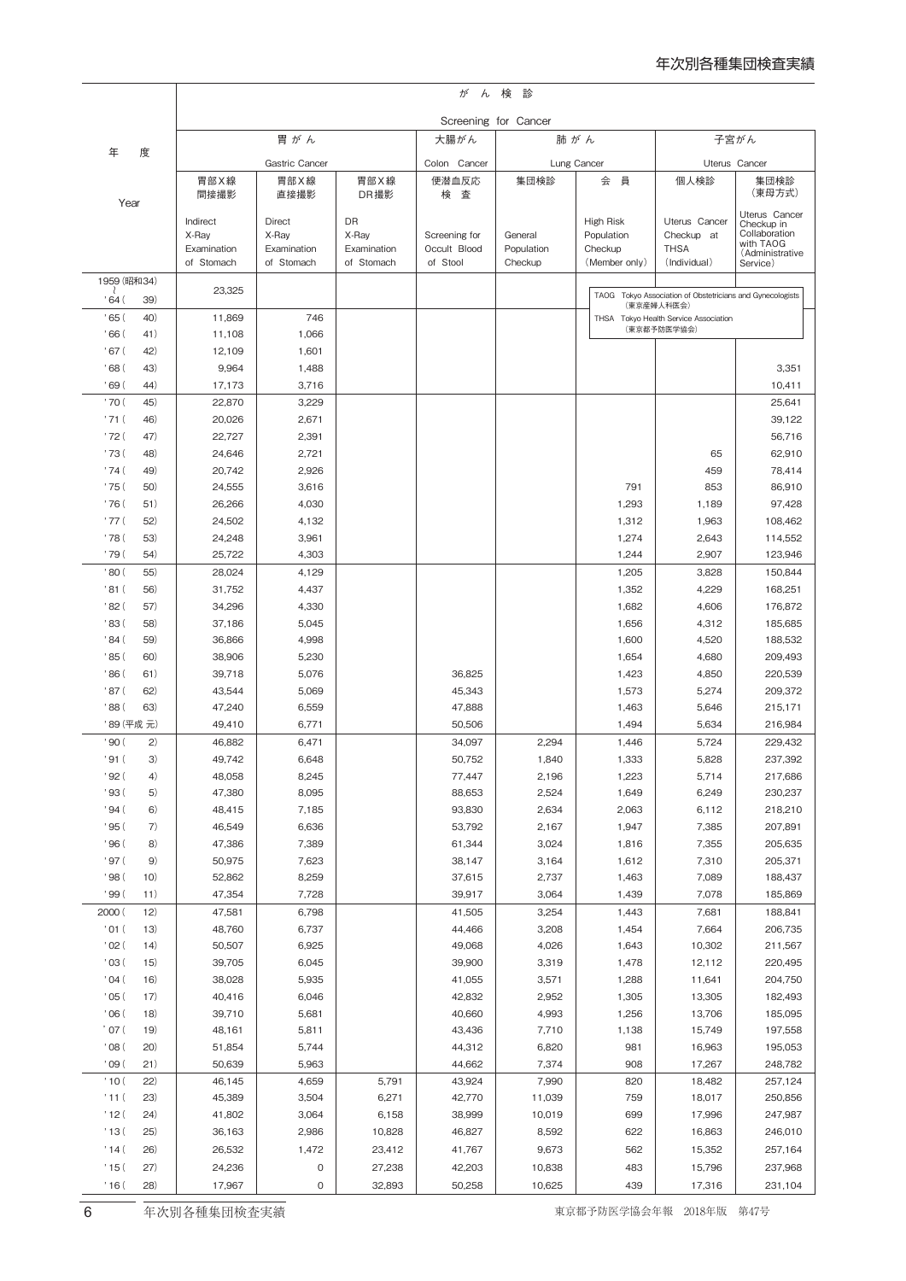|                  |              | が<br>ん検<br>診              |                           |                           |                          |                       |                          |                                                                         |                             |  |  |
|------------------|--------------|---------------------------|---------------------------|---------------------------|--------------------------|-----------------------|--------------------------|-------------------------------------------------------------------------|-----------------------------|--|--|
|                  |              | Screening for Cancer      |                           |                           |                          |                       |                          |                                                                         |                             |  |  |
| 年<br>度           |              | 胃がん                       |                           |                           | 大腸がん                     |                       | 肺がん                      | 子宮がん                                                                    |                             |  |  |
|                  |              | Gastric Cancer            |                           |                           | Colon Cancer             | Lung Cancer           |                          | Uterus Cancer                                                           |                             |  |  |
|                  |              | 胃部X線                      | 胃部X線                      | 胃部X線                      | 便潜血反応                    | 集団検診                  | 員<br>会                   | 個人検診                                                                    | 集団検診                        |  |  |
| Year             |              | 間接撮影                      | 直接撮影                      | DR撮影                      | 検査                       |                       |                          |                                                                         | (東母方式)                      |  |  |
|                  |              | Indirect                  | Direct                    | <b>DR</b>                 |                          |                       | High Risk                | Uterus Cancer                                                           | Uterus Cancer<br>Checkup in |  |  |
|                  |              | X-Ray                     | X-Ray                     | X-Ray                     | Screening for            | General               | Population               | Checkup at                                                              | Collaboration<br>with TAOG  |  |  |
|                  |              | Examination<br>of Stomach | Examination<br>of Stomach | Examination<br>of Stomach | Occult Blood<br>of Stool | Population<br>Checkup | Checkup<br>(Member only) | <b>THSA</b><br>(Individual)                                             | (Administrative<br>Service) |  |  |
| 1959 (昭和34)      |              |                           |                           |                           |                          |                       |                          |                                                                         |                             |  |  |
| ' 64 (           | 39)          | 23,325                    |                           |                           |                          |                       |                          | TAOG Tokyo Association of Obstetricians and Gynecologists<br>(東京産婦人科医会) |                             |  |  |
| '65(             | 40)          | 11,869                    | 746                       |                           |                          |                       |                          | THSA Tokyo Health Service Association                                   |                             |  |  |
| '66(             | 41)          | 11,108                    | 1,066                     |                           |                          |                       |                          | (東京都予防医学協会)                                                             |                             |  |  |
| '67(             | 42)          | 12,109                    | 1,601                     |                           |                          |                       |                          |                                                                         |                             |  |  |
| , 68 (           | 43)          | 9,964                     | 1,488                     |                           |                          |                       |                          |                                                                         | 3,351                       |  |  |
| '69(             | 44)          | 17.173                    | 3,716                     |                           |                          |                       |                          |                                                                         | 10,411                      |  |  |
| '70(             | 45)          | 22,870                    | 3,229                     |                           |                          |                       |                          |                                                                         | 25,641                      |  |  |
| '71(<br>'72(     | 46)<br>47)   | 20,026<br>22,727          | 2,671<br>2,391            |                           |                          |                       |                          |                                                                         | 39,122<br>56,716            |  |  |
| ' 73 (           | 48)          | 24,646                    | 2,721                     |                           |                          |                       |                          | 65                                                                      | 62,910                      |  |  |
| ' 74 (           | 49)          | 20,742                    | 2,926                     |                           |                          |                       |                          | 459                                                                     | 78,414                      |  |  |
| ' 75 (           | 50)          | 24,555                    | 3,616                     |                           |                          |                       | 791                      | 853                                                                     | 86,910                      |  |  |
| ' 76 (           | 51)          | 26,266                    | 4,030                     |                           |                          |                       | 1,293                    | 1,189                                                                   | 97,428                      |  |  |
| '77(             | 52)          | 24,502                    | 4,132                     |                           |                          |                       | 1,312                    | 1,963                                                                   | 108,462                     |  |  |
| ' 78 (           | 53)          | 24,248                    | 3,961                     |                           |                          |                       | 1,274                    | 2,643                                                                   | 114,552                     |  |  |
| ' 79 (           | 54)          | 25,722                    | 4,303                     |                           |                          |                       | 1,244                    | 2,907                                                                   | 123,946                     |  |  |
| '80(             | 55)          | 28,024                    | 4,129                     |                           |                          |                       | 1,205                    | 3,828                                                                   | 150,844                     |  |  |
| '81(             | 56)          | 31,752                    | 4,437                     |                           |                          |                       | 1,352                    | 4,229                                                                   | 168,251                     |  |  |
| '82(             | 57)          | 34,296                    | 4,330                     |                           |                          |                       | 1,682                    | 4,606                                                                   | 176,872                     |  |  |
| '83 (            | 58)          | 37,186                    | 5,045                     |                           |                          |                       | 1,656                    | 4,312                                                                   | 185,685                     |  |  |
| '84(<br>'85 (    | 59)<br>60)   | 36,866<br>38,906          | 4,998<br>5,230            |                           |                          |                       | 1,600<br>1,654           | 4,520<br>4,680                                                          | 188,532<br>209,493          |  |  |
| '86 (            | 61)          | 39,718                    | 5,076                     |                           | 36,825                   |                       | 1,423                    | 4,850                                                                   | 220,539                     |  |  |
| '87(             | 62)          | 43,544                    | 5,069                     |                           | 45,343                   |                       | 1,573                    | 5,274                                                                   | 209,372                     |  |  |
| '88 (            | 63)          | 47,240                    | 6,559                     |                           | 47,888                   |                       | 1,463                    | 5,646                                                                   | 215,171                     |  |  |
|                  | '89 (平成元)    | 49,410                    | 6,771                     |                           | 50,506                   |                       | 1,494                    | 5,634                                                                   | 216,984                     |  |  |
| '90(             | 2)           | 46,882                    | 6,471                     |                           | 34,097                   | 2,294                 | 1,446                    | 5,724                                                                   | 229,432                     |  |  |
| ' 91 (           | 3)           | 49,742                    | 6,648                     |                           | 50,752                   | 1,840                 | 1,333                    | 5,828                                                                   | 237,392                     |  |  |
| ' 92 (           | 4)           | 48,058                    | 8,245                     |                           | 77,447                   | 2,196                 | 1,223                    | 5,714                                                                   | 217,686                     |  |  |
| '93 (            | 5)           | 47,380                    | 8,095                     |                           | 88,653                   | 2,524                 | 1,649                    | 6,249                                                                   | 230,237                     |  |  |
| 94(              | 6)           | 48,415                    | 7,185                     |                           | 93,830                   | 2,634                 | 2,063                    | 6,112                                                                   | 218,210                     |  |  |
| ' 95 (           | 7)           | 46,549                    | 6,636                     |                           | 53,792                   | 2,167                 | 1,947                    | 7,385                                                                   | 207,891                     |  |  |
| '96(             | 8)           | 47,386                    | 7,389                     |                           | 61,344                   | 3,024                 | 1,816                    | 7,355                                                                   | 205,635                     |  |  |
| ' 97 (<br>'98(   | 9)<br>10)    | 50,975<br>52,862          | 7,623<br>8,259            |                           | 38,147<br>37,615         | 3,164<br>2,737        | 1,612<br>1,463           | 7,310<br>7,089                                                          | 205,371<br>188,437          |  |  |
| '99(             | 11)          | 47,354                    | 7,728                     |                           | 39,917                   | 3,064                 | 1,439                    | 7,078                                                                   | 185,869                     |  |  |
| 2000 (           | 12)          | 47,581                    | 6,798                     |                           | 41,505                   | 3,254                 | 1,443                    | 7,681                                                                   | 188,841                     |  |  |
| '01(             | 13)          | 48,760                    | 6,737                     |                           | 44,466                   | 3,208                 | 1,454                    | 7,664                                                                   | 206,735                     |  |  |
| $'$ 02 (         | 14)          | 50,507                    | 6,925                     |                           | 49,068                   | 4,026                 | 1,643                    | 10,302                                                                  | 211,567                     |  |  |
| '03(             | 15)          | 39,705                    | 6,045                     |                           | 39,900                   | 3,319                 | 1,478                    | 12,112                                                                  | 220,495                     |  |  |
| '04(             | 16)          | 38,028                    | 5,935                     |                           | 41,055                   | 3,571                 | 1,288                    | 11,641                                                                  | 204,750                     |  |  |
| '05(             | 17)          | 40,416                    | 6,046                     |                           | 42,832                   | 2,952                 | 1,305                    | 13,305                                                                  | 182,493                     |  |  |
| 06(              | 18)          | 39,710                    | 5,681                     |                           | 40,660                   | 4,993                 | 1,256                    | 13,706                                                                  | 185,095                     |  |  |
| $^{\prime}$ 07 ( | 19)          | 48,161                    | 5,811                     |                           | 43,436                   | 7,710                 | 1,138                    | 15,749                                                                  | 197,558                     |  |  |
| 08 <sup>°</sup>  | 20)          | 51,854                    | 5,744                     |                           | 44,312                   | 6,820                 | 981                      | 16,963                                                                  | 195,053                     |  |  |
| '09(             | 21)          | 50,639                    | 5,963                     |                           | 44,662                   | 7,374                 | 908                      | 17,267                                                                  | 248,782                     |  |  |
| '10(<br>'11(     | 22)          | 46,145<br>45,389          | 4,659<br>3,504            | 5,791<br>6,271            | 43,924<br>42,770         | 7,990<br>11,039       | 820<br>759               | 18,482<br>18,017                                                        | 257,124<br>250,856          |  |  |
| '12(             | (23)<br>(24) | 41,802                    | 3,064                     | 6,158                     | 38,999                   | 10,019                | 699                      | 17,996                                                                  | 247,987                     |  |  |
| '13(             | 25)          | 36,163                    | 2,986                     | 10,828                    | 46,827                   | 8,592                 | 622                      | 16,863                                                                  | 246,010                     |  |  |
| '14(             | 26)          | 26,532                    | 1,472                     | 23,412                    | 41,767                   | 9,673                 | 562                      | 15,352                                                                  | 257,164                     |  |  |
| '15(             | (27)         | 24,236                    | 0                         | 27,238                    | 42,203                   | 10,838                | 483                      | 15,796                                                                  | 237,968                     |  |  |
| '16(             | 28)          | 17,967                    | 0                         | 32,893                    | 50,258                   | 10,625                | 439                      | 17,316                                                                  | 231,104                     |  |  |
|                  |              |                           |                           |                           |                          |                       |                          |                                                                         |                             |  |  |